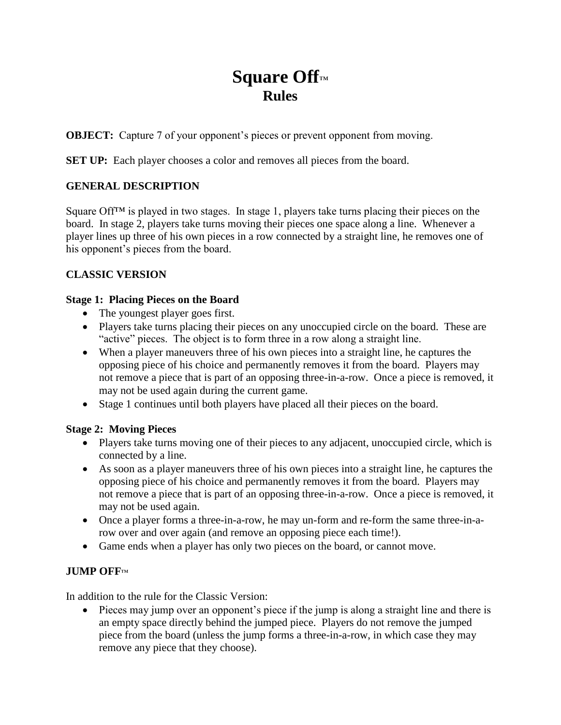# **Square Off**™ **Rules**

**OBJECT:** Capture 7 of your opponent's pieces or prevent opponent from moving.

**SET UP:** Each player chooses a color and removes all pieces from the board.

## **GENERAL DESCRIPTION**

Square Off<sup>™</sup> is played in two stages. In stage 1, players take turns placing their pieces on the board. In stage 2, players take turns moving their pieces one space along a line. Whenever a player lines up three of his own pieces in a row connected by a straight line, he removes one of his opponent's pieces from the board.

# **CLASSIC VERSION**

#### **Stage 1: Placing Pieces on the Board**

- The youngest player goes first.
- Players take turns placing their pieces on any unoccupied circle on the board. These are "active" pieces. The object is to form three in a row along a straight line.
- When a player maneuvers three of his own pieces into a straight line, he captures the opposing piece of his choice and permanently removes it from the board. Players may not remove a piece that is part of an opposing three-in-a-row. Once a piece is removed, it may not be used again during the current game.
- Stage 1 continues until both players have placed all their pieces on the board.

## **Stage 2: Moving Pieces**

- Players take turns moving one of their pieces to any adjacent, unoccupied circle, which is connected by a line.
- As soon as a player maneuvers three of his own pieces into a straight line, he captures the opposing piece of his choice and permanently removes it from the board. Players may not remove a piece that is part of an opposing three-in-a-row. Once a piece is removed, it may not be used again.
- Once a player forms a three-in-a-row, he may un-form and re-form the same three-in-arow over and over again (and remove an opposing piece each time!).
- Game ends when a player has only two pieces on the board, or cannot move.

# **JUMP OFF**™

In addition to the rule for the Classic Version:

 Pieces may jump over an opponent's piece if the jump is along a straight line and there is an empty space directly behind the jumped piece. Players do not remove the jumped piece from the board (unless the jump forms a three-in-a-row, in which case they may remove any piece that they choose).